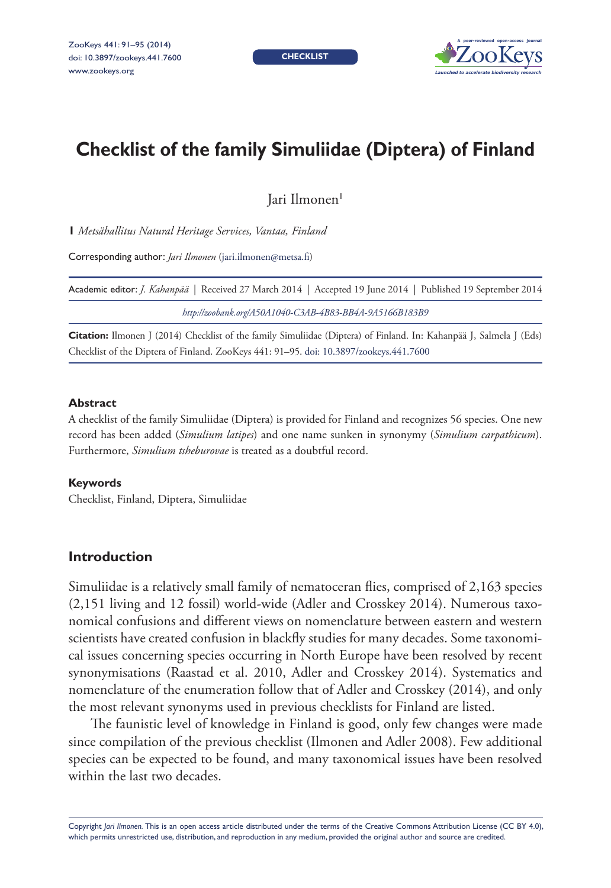**CHECKLIST**



# **Checklist of the family Simuliidae (Diptera) of Finland**

Jari Ilmonen<sup>1</sup>

**1** *Metsähallitus Natural Heritage Services, Vantaa, Finland*

Corresponding author: *Jari Ilmonen* ([jari.ilmonen@metsa.fi](mailto:jari.ilmonen@metsa.fi))

| Academic editor: <i>J. Kahanpää</i>   Received 27 March 2014   Accepted 19 June 2014   Published 19 September 2014 |
|--------------------------------------------------------------------------------------------------------------------|
| http://zoobank.org/A50A1040-C3AB-4B83-BB4A-9A5166B183B9                                                            |

**Citation:** Ilmonen J (2014) Checklist of the family Simuliidae (Diptera) of Finland. In: Kahanpää J, Salmela J (Eds) Checklist of the Diptera of Finland. ZooKeys 441: 91–95. [doi: 10.3897/zookeys.441.7600](http://dx.doi.org/10.3897/zookeys.441.7600)

#### **Abstract**

A checklist of the family Simuliidae (Diptera) is provided for Finland and recognizes 56 species. One new record has been added (*Simulium latipes*) and one name sunken in synonymy (*Simulium carpathicum*). Furthermore, *Simulium tsheburovae* is treated as a doubtful record.

#### **Keywords**

Checklist, Finland, Diptera, Simuliidae

# **Introduction**

Simuliidae is a relatively small family of nematoceran flies, comprised of 2,163 species (2,151 living and 12 fossil) world-wide (Adler and Crosskey 2014). Numerous taxonomical confusions and different views on nomenclature between eastern and western scientists have created confusion in blackfly studies for many decades. Some taxonomical issues concerning species occurring in North Europe have been resolved by recent synonymisations (Raastad et al. 2010, Adler and Crosskey 2014). Systematics and nomenclature of the enumeration follow that of Adler and Crosskey (2014), and only the most relevant synonyms used in previous checklists for Finland are listed.

The faunistic level of knowledge in Finland is good, only few changes were made since compilation of the previous checklist (Ilmonen and Adler 2008). Few additional species can be expected to be found, and many taxonomical issues have been resolved within the last two decades.

Copyright *Jari Ilmonen.* This is an open access article distributed under the terms of the [Creative Commons Attribution License \(CC BY 4.0\)](http://creativecommons.org/licenses/by/4.0/), which permits unrestricted use, distribution, and reproduction in any medium, provided the original author and source are credited.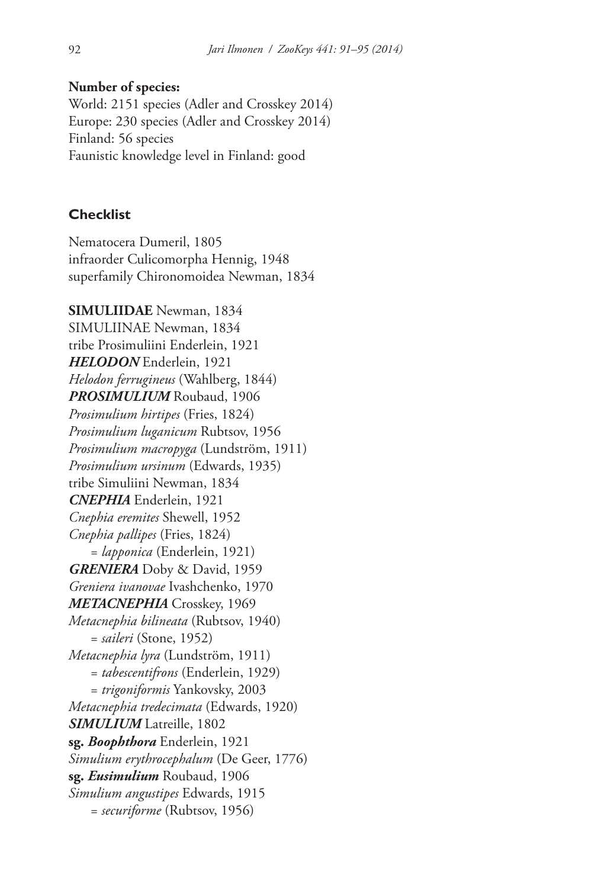### **Number of species:**

World: 2151 species (Adler and Crosskey 2014) Europe: 230 species (Adler and Crosskey 2014) Finland: 56 species Faunistic knowledge level in Finland: good

# **Checklist**

Nematocera Dumeril, 1805 infraorder Culicomorpha Hennig, 1948 superfamily Chironomoidea Newman, 1834

**SIMULIIDAE** Newman, 1834 SIMULIINAE Newman, 1834 tribe Prosimuliini Enderlein, 1921 *HELODON* Enderlein, 1921 *Helodon ferrugineus* (Wahlberg, 1844) *PROSIMULIUM* Roubaud, 1906 *Prosimulium hirtipes* (Fries, 1824) *Prosimulium luganicum* Rubtsov, 1956 *Prosimulium macropyga* (Lundström, 1911) *Prosimulium ursinum* (Edwards, 1935) tribe Simuliini Newman, 1834 *CNEPHIA* Enderlein, 1921 *Cnephia eremites* Shewell, 1952 *Cnephia pallipes* (Fries, 1824) = *lapponica* (Enderlein, 1921) *GRENIERA* Doby & David, 1959 *Greniera ivanovae* Ivashchenko, 1970 *METACNEPHIA* Crosskey, 1969 *Metacnephia bilineata* (Rubtsov, 1940) = *saileri* (Stone, 1952) *Metacnephia lyra* (Lundström, 1911) = *tabescentifrons* (Enderlein, 1929) = *trigoniformis* Yankovsky, 2003 *Metacnephia tredecimata* (Edwards, 1920) **SIMULIUM** Latreille, 1802 **sg.** *Boophthora* Enderlein, 1921 *Simulium erythrocephalum* (De Geer, 1776) **sg.** *Eusimulium* Roubaud, 1906 *Simulium angustipes* Edwards, 1915 = *securiforme* (Rubtsov, 1956)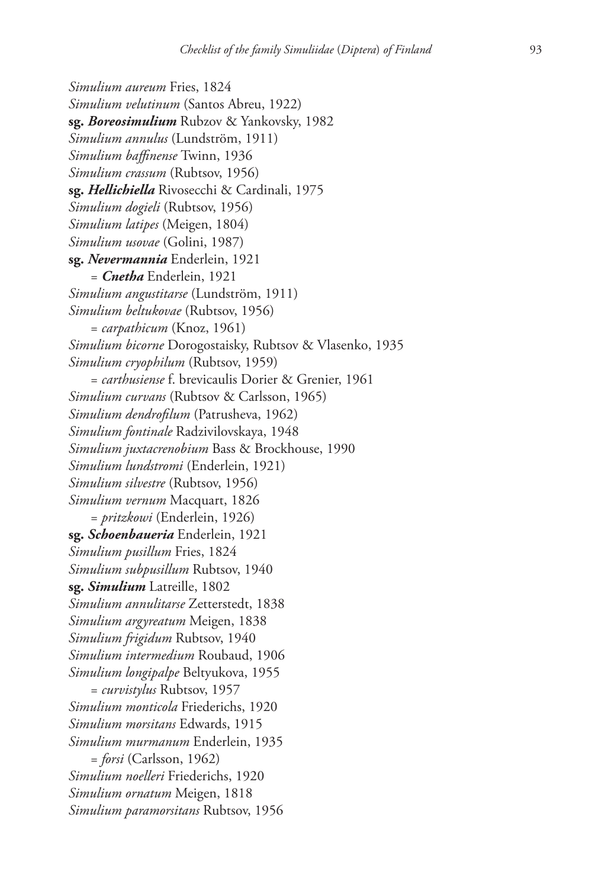*Simulium aureum* Fries, 1824 *Simulium velutinum* (Santos Abreu, 1922) **sg.** *Boreosimulium* Rubzov & Yankovsky, 1982 *Simulium annulus* (Lundström, 1911) *Simulium baffinense* Twinn, 1936 *Simulium crassum* (Rubtsov, 1956) **sg.** *Hellichiella* Rivosecchi & Cardinali, 1975 *Simulium dogieli* (Rubtsov, 1956) *Simulium latipes* (Meigen, 1804) *Simulium usovae* (Golini, 1987) **sg.** *Nevermannia* Enderlein, 1921 = *Cnetha* Enderlein, 1921 *Simulium angustitarse* (Lundström, 1911) *Simulium beltukovae* (Rubtsov, 1956) = *carpathicum* (Knoz, 1961) *Simulium bicorne* Dorogostaisky, Rubtsov & Vlasenko, 1935 *Simulium cryophilum* (Rubtsov, 1959) = *carthusiense* f. brevicaulis Dorier & Grenier, 1961 *Simulium curvans* (Rubtsov & Carlsson, 1965) *Simulium dendrofilum* (Patrusheva, 1962) *Simulium fontinale* Radzivilovskaya, 1948 *Simulium juxtacrenobium* Bass & Brockhouse, 1990 *Simulium lundstromi* (Enderlein, 1921) *Simulium silvestre* (Rubtsov, 1956) *Simulium vernum* Macquart, 1826 = *pritzkowi* (Enderlein, 1926) **sg.** *Schoenbaueria* Enderlein, 1921 *Simulium pusillum* Fries, 1824 *Simulium subpusillum* Rubtsov, 1940 **sg.** *Simulium* Latreille, 1802 *Simulium annulitarse* Zetterstedt, 1838 *Simulium argyreatum* Meigen, 1838 *Simulium frigidum* Rubtsov, 1940 *Simulium intermedium* Roubaud, 1906 *Simulium longipalpe* Beltyukova, 1955 = *curvistylus* Rubtsov, 1957 *Simulium monticola* Friederichs, 1920 *Simulium morsitans* Edwards, 1915 *Simulium murmanum* Enderlein, 1935 = *forsi* (Carlsson, 1962) *Simulium noelleri* Friederichs, 1920 *Simulium ornatum* Meigen, 1818 *Simulium paramorsitans* Rubtsov, 1956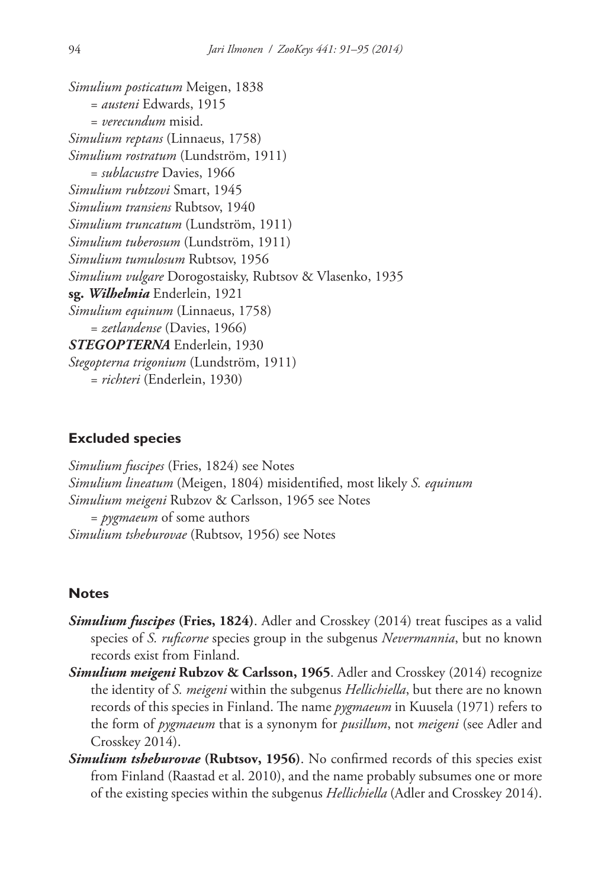```
Simulium posticatum Meigen, 1838
   = austeni Edwards, 1915
   = verecundum misid.
Simulium reptans (Linnaeus, 1758)
Simulium rostratum (Lundström, 1911)
   = sublacustre Davies, 1966
Simulium rubtzovi Smart, 1945
Simulium transiens Rubtsov, 1940
Simulium truncatum (Lundström, 1911)
Simulium tuberosum (Lundström, 1911)
Simulium tumulosum Rubtsov, 1956
Simulium vulgare Dorogostaisky, Rubtsov & Vlasenko, 1935
sg. Wilhelmia Enderlein, 1921
Simulium equinum (Linnaeus, 1758)
   = zetlandense (Davies, 1966)
STEGOPTERNA Enderlein, 1930
Stegopterna trigonium (Lundström, 1911)
   = richteri (Enderlein, 1930)
```
## **Excluded species**

*Simulium fuscipes* (Fries, 1824) see Notes *Simulium lineatum* (Meigen, 1804) misidentified, most likely *S. equinum Simulium meigeni* Rubzov & Carlsson, 1965 see Notes = *pygmaeum* of some authors *Simulium tsheburovae* (Rubtsov, 1956) see Notes

# **Notes**

- *Simulium fuscipes* **(Fries, 1824)**. Adler and Crosskey (2014) treat fuscipes as a valid species of *S. ruficorne* species group in the subgenus *Nevermannia*, but no known records exist from Finland.
- *Simulium meigeni* **Rubzov & Carlsson, 1965**. Adler and Crosskey (2014) recognize the identity of *S. meigeni* within the subgenus *Hellichiella*, but there are no known records of this species in Finland. The name *pygmaeum* in Kuusela (1971) refers to the form of *pygmaeum* that is a synonym for *pusillum*, not *meigeni* (see Adler and Crosskey 2014).
- *Simulium tsheburovae* **(Rubtsov, 1956)**. No confirmed records of this species exist from Finland (Raastad et al. 2010), and the name probably subsumes one or more of the existing species within the subgenus *Hellichiella* (Adler and Crosskey 2014).